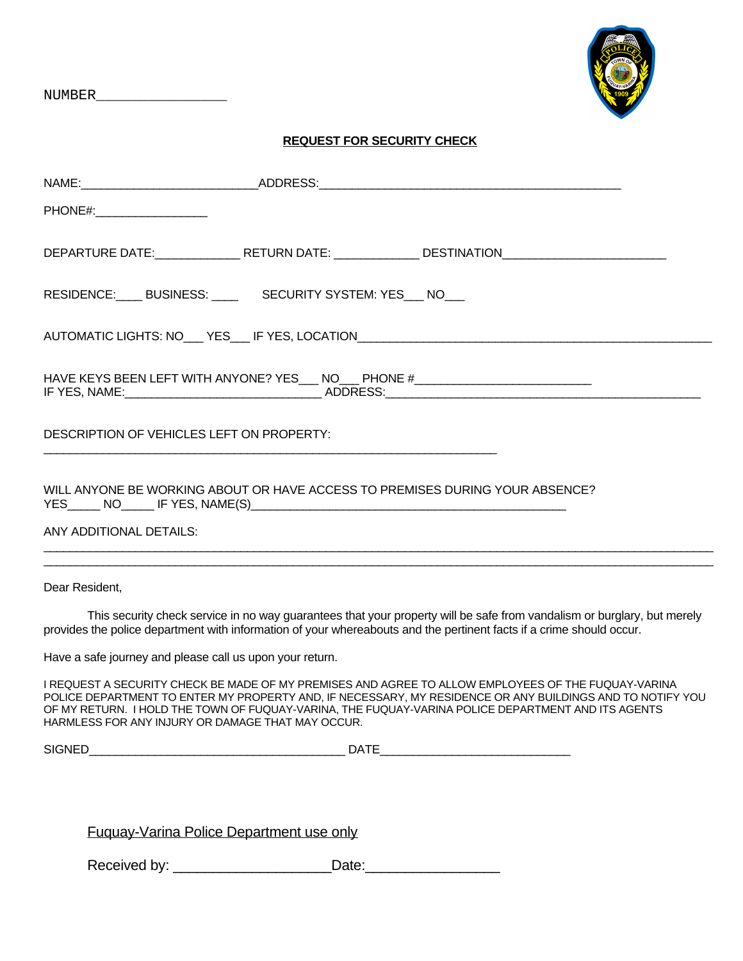NUMBER\_\_\_\_\_\_\_\_\_\_\_\_\_\_\_



## **REQUEST FOR SECURITY CHECK**

| DEPARTURE DATE:________________RETURN DATE: _______________DESTINATION_____________________________                                                                                                                                                                                                                                                                         |
|-----------------------------------------------------------------------------------------------------------------------------------------------------------------------------------------------------------------------------------------------------------------------------------------------------------------------------------------------------------------------------|
| RESIDENCE: BUSINESS: SECURITY SYSTEM: YES NO                                                                                                                                                                                                                                                                                                                                |
| AUTOMATIC LIGHTS: NO___ YES___ IF YES, LOCATION__________________________________                                                                                                                                                                                                                                                                                           |
| HAVE KEYS BEEN LEFT WITH ANYONE? YES___ NO___ PHONE #___________________________                                                                                                                                                                                                                                                                                            |
| DESCRIPTION OF VEHICLES LEFT ON PROPERTY:                                                                                                                                                                                                                                                                                                                                   |
| WILL ANYONE BE WORKING ABOUT OR HAVE ACCESS TO PREMISES DURING YOUR ABSENCE?<br>ANY ADDITIONAL DETAILS:<br>,我们也不能在这里的时候,我们也不能在这里的时候,我们也不能不能不能不能不能不能不能不能不能不能不能不能不能不能不能。""我们的是我们的,我们也不能不能不能不能                                                                                                                                                                                 |
|                                                                                                                                                                                                                                                                                                                                                                             |
| Dear Resident,                                                                                                                                                                                                                                                                                                                                                              |
| This security check service in no way guarantees that your property will be safe from vandalism or burglary, but merely<br>provides the police department with information of your whereabouts and the pertinent facts if a crime should occur.                                                                                                                             |
| Have a safe journey and please call us upon your return.                                                                                                                                                                                                                                                                                                                    |
| I REQUEST A SECURITY CHECK BE MADE OF MY PREMISES AND AGREE TO ALLOW EMPLOYEES OF THE FUQUAY-VARINA<br>POLICE DEPARTMENT TO ENTER MY PROPERTY AND, IF NECESSARY, MY RESIDENCE OR ANY BUILDINGS AND TO NOTIFY YOU<br>OF MY RETURN. I HOLD THE TOWN OF FUQUAY-VARINA, THE FUQUAY-VARINA POLICE DEPARTMENT AND ITS AGENTS<br>HARMLESS FOR ANY INJURY OR DAMAGE THAT MAY OCCUR. |
|                                                                                                                                                                                                                                                                                                                                                                             |
|                                                                                                                                                                                                                                                                                                                                                                             |

Fuquay-Varina Police Department use only

Received by: \_\_\_\_\_\_\_\_\_\_\_\_\_\_\_\_\_\_\_\_Date:\_\_\_\_\_\_\_\_\_\_\_\_\_\_\_\_\_